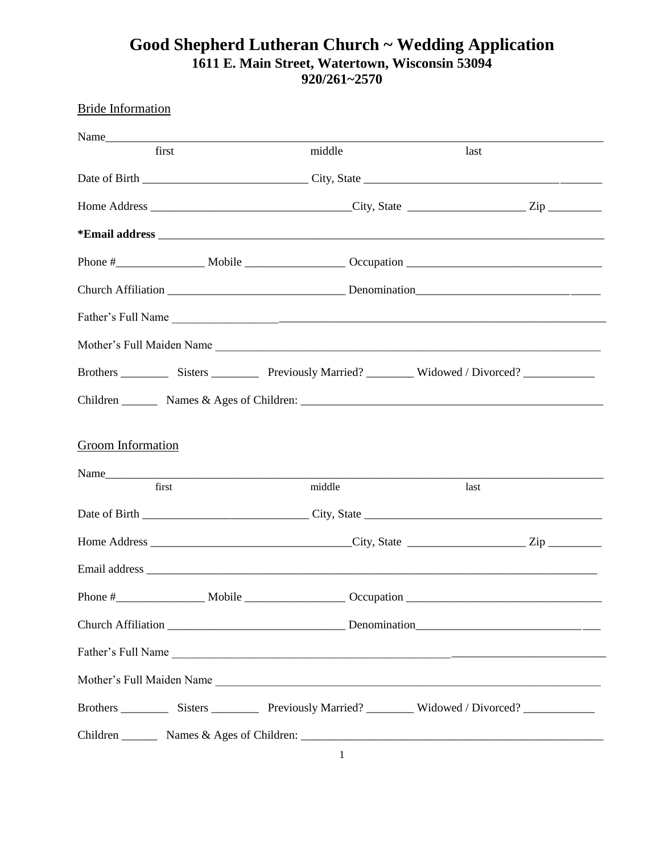## **Good Shepherd Lutheran Church ~ Wedding Application 1611 E. Main Street, Watertown, Wisconsin 53094 920/261~2570**

| <b>Bride Information</b>  |        |      |
|---------------------------|--------|------|
|                           |        |      |
| first                     | middle | last |
|                           |        |      |
|                           |        |      |
|                           |        |      |
|                           |        |      |
|                           |        |      |
|                           |        |      |
| Mother's Full Maiden Name |        |      |
|                           |        |      |
|                           |        |      |
| Groom Information         |        |      |
|                           |        |      |
| first                     | middle | last |
|                           |        |      |
|                           |        |      |
|                           |        |      |
|                           |        |      |
|                           |        |      |
|                           |        |      |
| Mother's Full Maiden Name |        |      |
|                           |        |      |
|                           |        |      |

1